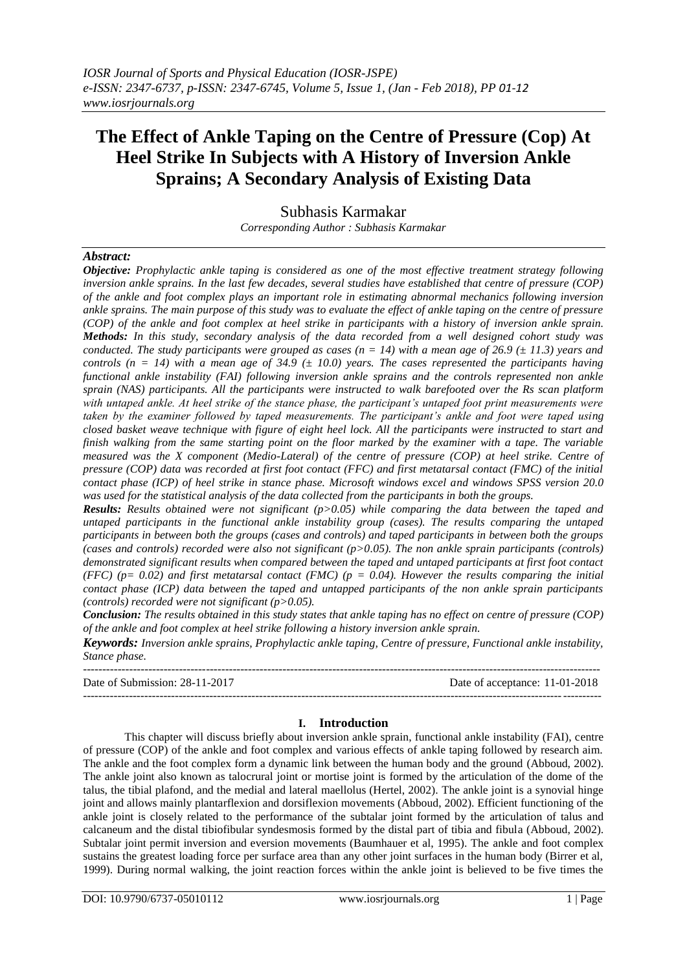# **The Effect of Ankle Taping on the Centre of Pressure (Cop) At Heel Strike In Subjects with A History of Inversion Ankle Sprains; A Secondary Analysis of Existing Data**

Subhasis Karmakar *Corresponding Author : Subhasis Karmakar*

*Abstract:* 

*Objective: Prophylactic ankle taping is considered as one of the most effective treatment strategy following inversion ankle sprains. In the last few decades, several studies have established that centre of pressure (COP) of the ankle and foot complex plays an important role in estimating abnormal mechanics following inversion ankle sprains. The main purpose of this study was to evaluate the effect of ankle taping on the centre of pressure (COP) of the ankle and foot complex at heel strike in participants with a history of inversion ankle sprain. Methods: In this study, secondary analysis of the data recorded from a well designed cohort study was conducted. The study participants were grouped as cases (n = 14) with a mean age of 26.9 (± 11.3) years and controls (n = 14) with a mean age of 34.9 (* $\pm$  *10.0) years. The cases represented the participants having functional ankle instability (FAI) following inversion ankle sprains and the controls represented non ankle sprain (NAS) participants. All the participants were instructed to walk barefooted over the Rs scan platform with untaped ankle. At heel strike of the stance phase, the participant's untaped foot print measurements were taken by the examiner followed by taped measurements. The participant's ankle and foot were taped using closed basket weave technique with figure of eight heel lock. All the participants were instructed to start and finish walking from the same starting point on the floor marked by the examiner with a tape. The variable measured was the X component (Medio-Lateral) of the centre of pressure (COP) at heel strike. Centre of pressure (COP) data was recorded at first foot contact (FFC) and first metatarsal contact (FMC) of the initial contact phase (ICP) of heel strike in stance phase. Microsoft windows excel and windows SPSS version 20.0 was used for the statistical analysis of the data collected from the participants in both the groups.*

*Results: Results obtained were not significant (p>0.05) while comparing the data between the taped and untaped participants in the functional ankle instability group (cases). The results comparing the untaped participants in between both the groups (cases and controls) and taped participants in between both the groups (cases and controls) recorded were also not significant (p>0.05). The non ankle sprain participants (controls) demonstrated significant results when compared between the taped and untaped participants at first foot contact (FFC)* ( $p= 0.02$ ) and first metatarsal contact *(FMC)* ( $p = 0.04$ ). However the results comparing the initial *contact phase (ICP) data between the taped and untapped participants of the non ankle sprain participants (controls) recorded were not significant (p>0.05).*

*Conclusion: The results obtained in this study states that ankle taping has no effect on centre of pressure (COP) of the ankle and foot complex at heel strike following a history inversion ankle sprain.*

*Keywords: Inversion ankle sprains, Prophylactic ankle taping, Centre of pressure, Functional ankle instability, Stance phase.* 

| Date of Submission: 28-11-2017 | Date of acceptance: 11-01-2018 |
|--------------------------------|--------------------------------|
|                                |                                |

#### **I. Introduction**

This chapter will discuss briefly about inversion ankle sprain, functional ankle instability (FAI), centre of pressure (COP) of the ankle and foot complex and various effects of ankle taping followed by research aim. The ankle and the foot complex form a dynamic link between the human body and the ground (Abboud, 2002). The ankle joint also known as talocrural joint or mortise joint is formed by the articulation of the dome of the talus, the tibial plafond, and the medial and lateral maellolus (Hertel, 2002). The ankle joint is a synovial hinge joint and allows mainly plantarflexion and dorsiflexion movements (Abboud, 2002). Efficient functioning of the ankle joint is closely related to the performance of the subtalar joint formed by the articulation of talus and calcaneum and the distal tibiofibular syndesmosis formed by the distal part of tibia and fibula (Abboud, 2002). Subtalar joint permit inversion and eversion movements (Baumhauer et al, 1995). The ankle and foot complex sustains the greatest loading force per surface area than any other joint surfaces in the human body (Birrer et al, 1999). During normal walking, the joint reaction forces within the ankle joint is believed to be five times the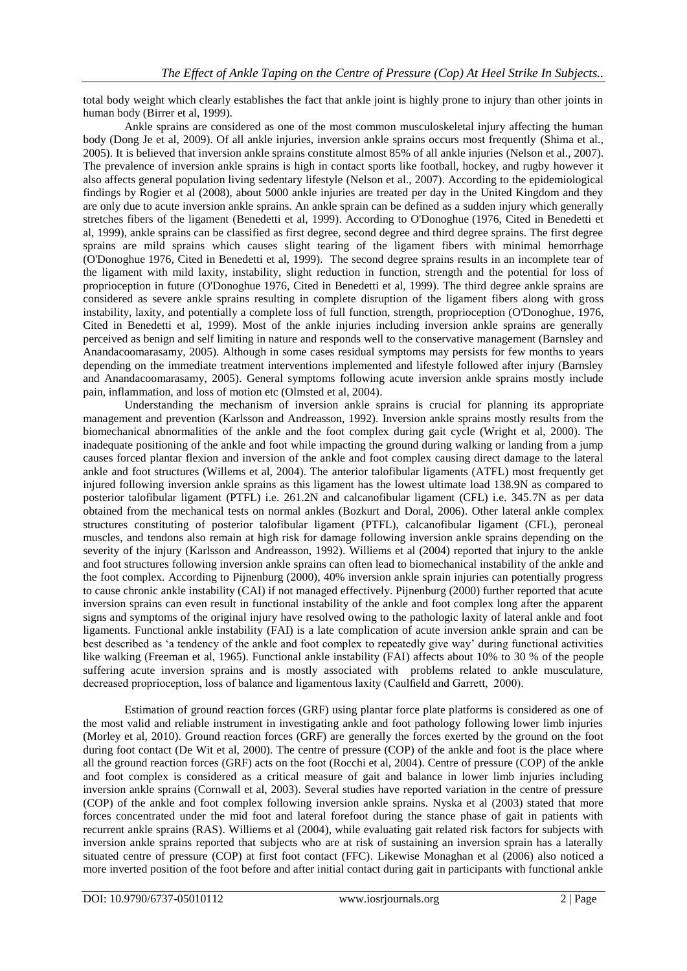total body weight which clearly establishes the fact that ankle joint is highly prone to injury than other joints in human body (Birrer et al, 1999).

Ankle sprains are considered as one of the most common musculoskeletal injury affecting the human body (Dong Je et al, 2009). Of all ankle injuries, inversion ankle sprains occurs most frequently (Shima et al., 2005). It is believed that inversion ankle sprains constitute almost 85% of all ankle injuries (Nelson et al., 2007). The prevalence of inversion ankle sprains is high in contact sports like football, hockey, and rugby however it also affects general population living sedentary lifestyle (Nelson et al., 2007). According to the epidemiological findings by Rogier et al (2008), about 5000 ankle injuries are treated per day in the United Kingdom and they are only due to acute inversion ankle sprains. An ankle sprain can be defined as a sudden injury which generally stretches fibers of the ligament (Benedetti et al, 1999). According to O'Donoghue (1976, Cited in Benedetti et al, 1999), ankle sprains can be classified as first degree, second degree and third degree sprains. The first degree sprains are mild sprains which causes slight tearing of the ligament fibers with minimal hemorrhage (O'Donoghue 1976, Cited in Benedetti et al, 1999). The second degree sprains results in an incomplete tear of the ligament with mild laxity, instability, slight reduction in function, strength and the potential for loss of proprioception in future (O'Donoghue 1976, Cited in Benedetti et al, 1999). The third degree ankle sprains are considered as severe ankle sprains resulting in complete disruption of the ligament fibers along with gross instability, laxity, and potentially a complete loss of full function, strength, proprioception (O'Donoghue, 1976, Cited in Benedetti et al, 1999). Most of the ankle injuries including inversion ankle sprains are generally perceived as benign and self limiting in nature and responds well to the conservative management (Barnsley and [Anandacoomarasamy,](http://bjsm.bmj.com/search?author1=A+Anandacoomarasamy&sortspec=date&submit=Submit) 2005). Although in some cases residual symptoms may persists for few months to years depending on the immediate treatment interventions implemented and lifestyle followed after injury (Barnsley and [Anandacoomarasamy,](http://bjsm.bmj.com/search?author1=A+Anandacoomarasamy&sortspec=date&submit=Submit) 2005). General symptoms following acute inversion ankle sprains mostly include pain, inflammation, and loss of motion etc (Olmsted et al, 2004).

Understanding the mechanism of inversion ankle sprains is crucial for planning its appropriate management and prevention (Karlsson and Andreasson, 1992). Inversion ankle sprains mostly results from the biomechanical abnormalities of the ankle and the foot complex during gait cycle (Wright et al, 2000). The inadequate positioning of the ankle and foot while impacting the ground during walking or landing from a jump causes forced plantar flexion and inversion of the ankle and foot complex causing direct damage to the lateral ankle and foot structures (Willems et al, 2004). The anterior talofibular ligaments (ATFL) most frequently get injured following inversion ankle sprains as this ligament has the lowest ultimate load 138.9N as compared to posterior talofibular ligament (PTFL) i.e. 261.2N and calcanofibular ligament (CFL) i.e. 345.7N as per data obtained from the mechanical tests on normal ankles (Bozkurt and Doral, 2006). Other lateral ankle complex structures constituting of posterior talofibular ligament (PTFL), calcanofibular ligament (CFL), peroneal muscles, and tendons also remain at high risk for damage following inversion ankle sprains depending on the severity of the injury (Karlsson and Andreasson, 1992). Williems et al (2004) reported that injury to the ankle and foot structures following inversion ankle sprains can often lead to biomechanical instability of the ankle and the foot complex. According to Pijnenburg (2000), 40% inversion ankle sprain injuries can potentially progress to cause chronic ankle instability (CAI) if not managed effectively. Pijnenburg (2000) further reported that acute inversion sprains can even result in functional instability of the ankle and foot complex long after the apparent signs and symptoms of the original injury have resolved owing to the pathologic laxity of lateral ankle and foot ligaments. Functional ankle instability (FAI) is a late complication of acute inversion ankle sprain and can be best described as 'a tendency of the ankle and foot complex to repeatedly give way' during functional activities like walking (Freeman et al, 1965). Functional ankle instability (FAI) affects about 10% to 30 % of the people suffering acute inversion sprains and is mostly associated with problems related to ankle musculature, decreased proprioception, loss of balance and ligamentous laxity (Caulfield and Garrett, 2000).

Estimation of ground reaction forces (GRF) using plantar force plate platforms is considered as one of the most valid and reliable instrument in investigating ankle and foot pathology following lower limb injuries (Morley et al, 2010). Ground reaction forces (GRF) are generally the forces exerted by the ground on the foot during foot contact (De Wit et al, 2000). The centre of pressure (COP) of the ankle and foot is the place where all the ground reaction forces (GRF) acts on the foot (Rocchi et al, 2004). Centre of pressure (COP) of the ankle and foot complex is considered as a critical measure of gait and balance in lower limb injuries including inversion ankle sprains (Cornwall et al, 2003). Several studies have reported variation in the centre of pressure (COP) of the ankle and foot complex following inversion ankle sprains. Nyska et al (2003) stated that more forces concentrated under the mid foot and lateral forefoot during the stance phase of gait in patients with recurrent ankle sprains (RAS). Williems et al (2004), while evaluating gait related risk factors for subjects with inversion ankle sprains reported that subjects who are at risk of sustaining an inversion sprain has a laterally situated centre of pressure (COP) at first foot contact (FFC). Likewise Monaghan et al (2006) also noticed a more inverted position of the foot before and after initial contact during gait in participants with functional ankle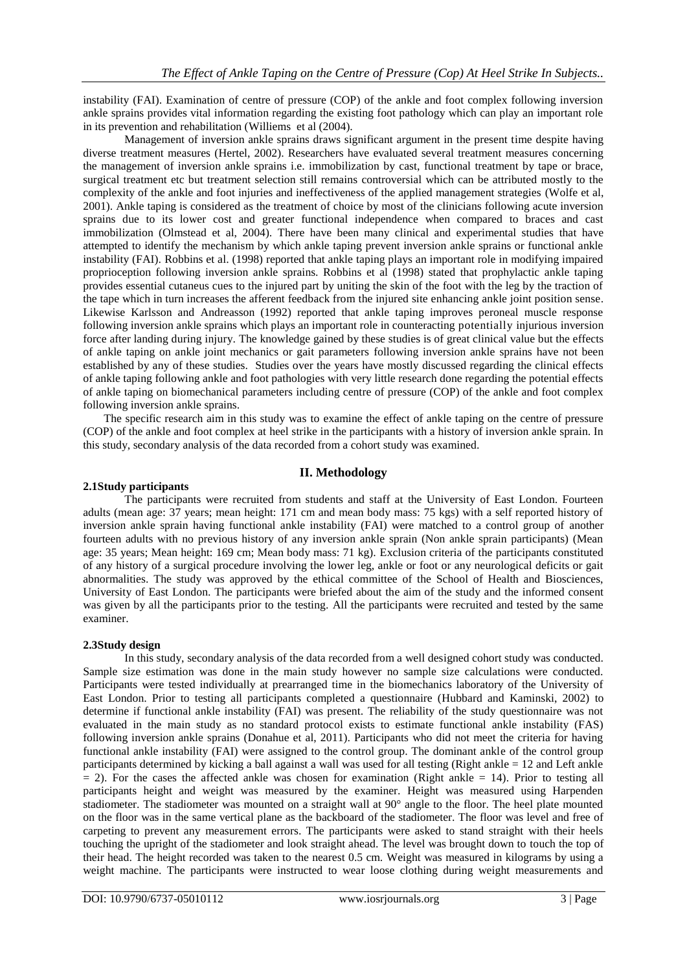instability (FAI). Examination of centre of pressure (COP) of the ankle and foot complex following inversion ankle sprains provides vital information regarding the existing foot pathology which can play an important role in its prevention and rehabilitation (Williems et al (2004).

Management of inversion ankle sprains draws significant argument in the present time despite having diverse treatment measures (Hertel, 2002). Researchers have evaluated several treatment measures concerning the management of inversion ankle sprains i.e. immobilization by cast, functional treatment by tape or brace, surgical treatment etc but treatment selection still remains controversial which can be attributed mostly to the complexity of the ankle and foot injuries and ineffectiveness of the applied management strategies (Wolfe et al, 2001). Ankle taping is considered as the treatment of choice by most of the clinicians following acute inversion sprains due to its lower cost and greater functional independence when compared to braces and cast immobilization (Olmstead et al, 2004). There have been many clinical and experimental studies that have attempted to identify the mechanism by which ankle taping prevent inversion ankle sprains or functional ankle instability (FAI). Robbins et al. (1998) reported that ankle taping plays an important role in modifying impaired proprioception following inversion ankle sprains. Robbins et al (1998) stated that prophylactic ankle taping provides essential cutaneus cues to the injured part by uniting the skin of the foot with the leg by the traction of the tape which in turn increases the afferent feedback from the injured site enhancing ankle joint position sense. Likewise Karlsson and Andreasson (1992) reported that ankle taping improves peroneal muscle response following inversion ankle sprains which plays an important role in counteracting potentially injurious inversion force after landing during injury. The knowledge gained by these studies is of great clinical value but the effects of ankle taping on ankle joint mechanics or gait parameters following inversion ankle sprains have not been established by any of these studies. Studies over the years have mostly discussed regarding the clinical effects of ankle taping following ankle and foot pathologies with very little research done regarding the potential effects of ankle taping on biomechanical parameters including centre of pressure (COP) of the ankle and foot complex following inversion ankle sprains.

The specific research aim in this study was to examine the effect of ankle taping on the centre of pressure (COP) of the ankle and foot complex at heel strike in the participants with a history of inversion ankle sprain. In this study, secondary analysis of the data recorded from a cohort study was examined.

# **II. Methodology**

# **2.1Study participants**

The participants were recruited from students and staff at the University of East London. Fourteen adults (mean age: 37 years; mean height: 171 cm and mean body mass: 75 kgs) with a self reported history of inversion ankle sprain having functional ankle instability (FAI) were matched to a control group of another fourteen adults with no previous history of any inversion ankle sprain (Non ankle sprain participants) (Mean age: 35 years; Mean height: 169 cm; Mean body mass: 71 kg). Exclusion criteria of the participants constituted of any history of a surgical procedure involving the lower leg, ankle or foot or any neurological deficits or gait abnormalities. The study was approved by the ethical committee of the School of Health and Biosciences, University of East London. The participants were briefed about the aim of the study and the informed consent was given by all the participants prior to the testing. All the participants were recruited and tested by the same examiner.

# **2.3Study design**

In this study, secondary analysis of the data recorded from a well designed cohort study was conducted. Sample size estimation was done in the main study however no sample size calculations were conducted. Participants were tested individually at prearranged time in the biomechanics laboratory of the University of East London. Prior to testing all participants completed a questionnaire (Hubbard and Kaminski, 2002) to determine if functional ankle instability (FAI) was present. The reliability of the study questionnaire was not evaluated in the main study as no standard protocol exists to estimate functional ankle instability (FAS) following inversion ankle sprains (Donahue et al, 2011). Participants who did not meet the criteria for having functional ankle instability (FAI) were assigned to the control group. The dominant ankle of the control group participants determined by kicking a ball against a wall was used for all testing (Right ankle = 12 and Left ankle  $= 2$ ). For the cases the affected ankle was chosen for examination (Right ankle  $= 14$ ). Prior to testing all participants height and weight was measured by the examiner. Height was measured using Harpenden stadiometer. The stadiometer was mounted on a straight wall at 90° angle to the floor. The heel plate mounted on the floor was in the same vertical plane as the backboard of the stadiometer. The floor was level and free of carpeting to prevent any measurement errors. The participants were asked to stand straight with their heels touching the upright of the stadiometer and look straight ahead. The level was brought down to touch the top of their head. The height recorded was taken to the nearest 0.5 cm. Weight was measured in kilograms by using a weight machine. The participants were instructed to wear loose clothing during weight measurements and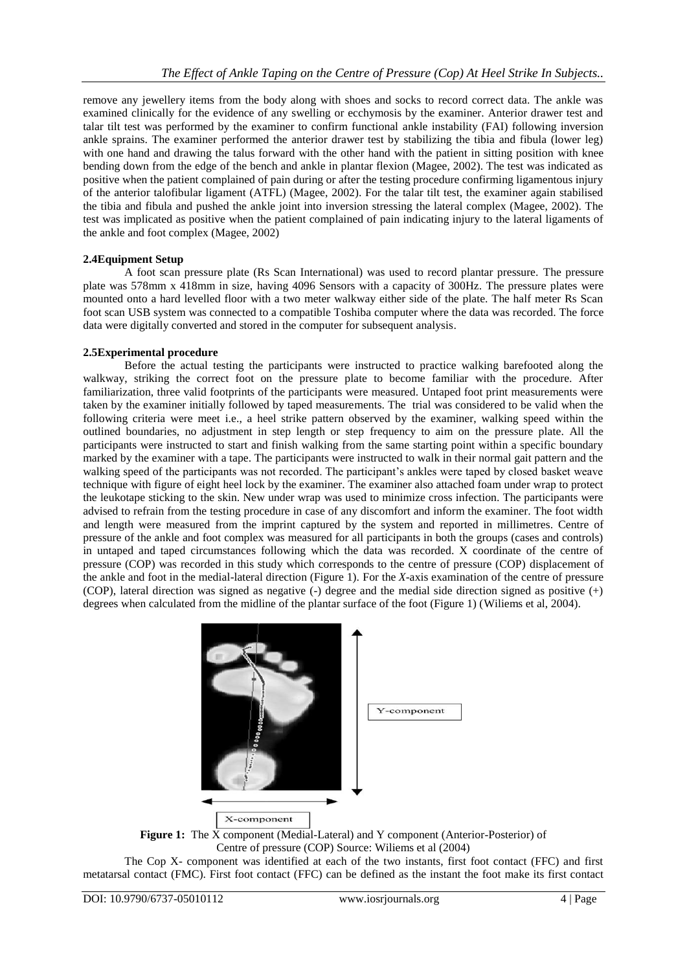remove any jewellery items from the body along with shoes and socks to record correct data. The ankle was examined clinically for the evidence of any swelling or ecchymosis by the examiner. Anterior drawer test and talar tilt test was performed by the examiner to confirm functional ankle instability (FAI) following inversion ankle sprains. The examiner performed the anterior drawer test by stabilizing the tibia and fibula (lower leg) with one hand and drawing the talus forward with the other hand with the patient in sitting position with knee bending down from the edge of the bench and ankle in plantar flexion (Magee, 2002). The test was indicated as positive when the patient complained of pain during or after the testing procedure confirming ligamentous injury of the anterior talofibular ligament (ATFL) (Magee, 2002). For the talar tilt test, the examiner again stabilised the tibia and fibula and pushed the ankle joint into inversion stressing the lateral complex (Magee, 2002). The test was implicated as positive when the patient complained of pain indicating injury to the lateral ligaments of the ankle and foot complex (Magee, 2002)

### **2.4Equipment Setup**

A foot scan pressure plate (Rs Scan International) was used to record plantar pressure. The pressure plate was 578mm x 418mm in size, having 4096 Sensors with a capacity of 300Hz. The pressure plates were mounted onto a hard levelled floor with a two meter walkway either side of the plate. The half meter Rs Scan foot scan USB system was connected to a compatible Toshiba computer where the data was recorded. The force data were digitally converted and stored in the computer for subsequent analysis.

### **2.5Experimental procedure**

Before the actual testing the participants were instructed to practice walking barefooted along the walkway, striking the correct foot on the pressure plate to become familiar with the procedure. After familiarization, three valid footprints of the participants were measured. Untaped foot print measurements were taken by the examiner initially followed by taped measurements. The trial was considered to be valid when the following criteria were meet i.e., a heel strike pattern observed by the examiner, walking speed within the outlined boundaries, no adjustment in step length or step frequency to aim on the pressure plate. All the participants were instructed to start and finish walking from the same starting point within a specific boundary marked by the examiner with a tape. The participants were instructed to walk in their normal gait pattern and the walking speed of the participants was not recorded. The participant's ankles were taped by closed basket weave technique with figure of eight heel lock by the examiner. The examiner also attached foam under wrap to protect the leukotape sticking to the skin. New under wrap was used to minimize cross infection. The participants were advised to refrain from the testing procedure in case of any discomfort and inform the examiner. The foot width and length were measured from the imprint captured by the system and reported in millimetres. Centre of pressure of the ankle and foot complex was measured for all participants in both the groups (cases and controls) in untaped and taped circumstances following which the data was recorded. X coordinate of the centre of pressure (COP) was recorded in this study which corresponds to the centre of pressure (COP) displacement of the ankle and foot in the medial-lateral direction (Figure 1). For the *X*-axis examination of the centre of pressure (COP), lateral direction was signed as negative (-) degree and the medial side direction signed as positive (+) degrees when calculated from the midline of the plantar surface of the foot (Figure 1) (Wiliems et al, 2004).



**Figure 1:** The X component (Medial-Lateral) and Y component (Anterior-Posterior) of Centre of pressure (COP) Source: Wiliems et al (2004)

The Cop X- component was identified at each of the two instants, first foot contact (FFC) and first metatarsal contact (FMC). First foot contact (FFC) can be defined as the instant the foot make its first contact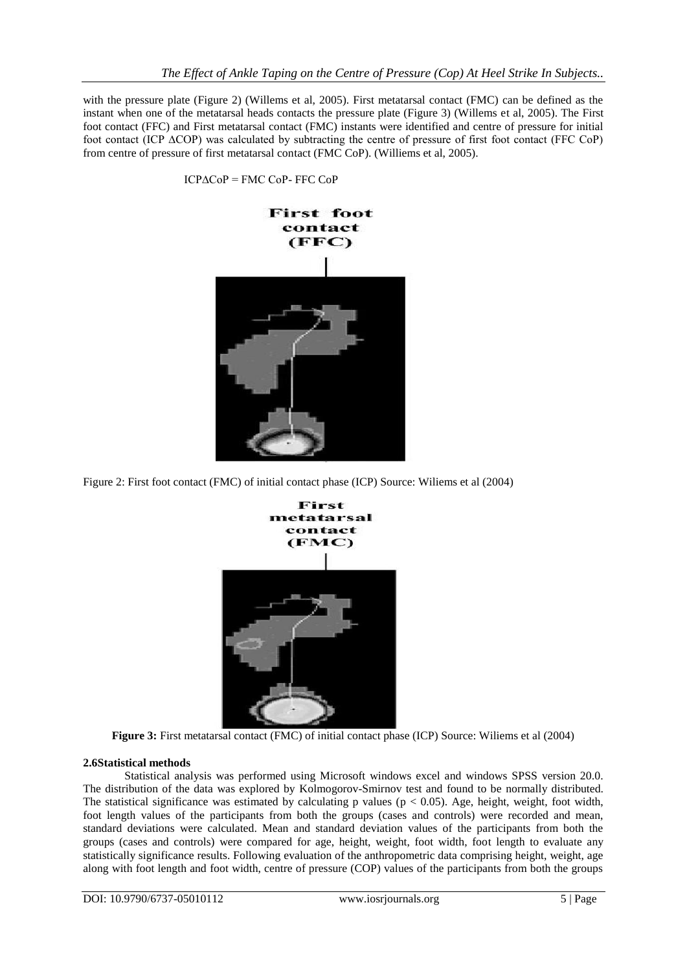with the pressure plate (Figure 2) (Willems et al, 2005). First metatarsal contact (FMC) can be defined as the instant when one of the metatarsal heads contacts the pressure plate (Figure 3) (Willems et al, 2005). The First foot contact (FFC) and First metatarsal contact (FMC) instants were identified and centre of pressure for initial foot contact (ICP ∆COP) was calculated by subtracting the centre of pressure of first foot contact (FFC CoP) from centre of pressure of first metatarsal contact (FMC CoP). (Williems et al, 2005).



ICP∆CoP = FMC CoP- FFC CoP

Figure 2: First foot contact (FMC) of initial contact phase (ICP) Source: Wiliems et al (2004)



**Figure 3:** First metatarsal contact (FMC) of initial contact phase (ICP) Source: Wiliems et al (2004)

### **2.6Statistical methods**

Statistical analysis was performed using Microsoft windows excel and windows SPSS version 20.0. The distribution of the data was explored by Kolmogorov-Smirnov test and found to be normally distributed. The statistical significance was estimated by calculating p values ( $p < 0.05$ ). Age, height, weight, foot width, foot length values of the participants from both the groups (cases and controls) were recorded and mean, standard deviations were calculated. Mean and standard deviation values of the participants from both the groups (cases and controls) were compared for age, height, weight, foot width, foot length to evaluate any statistically significance results. Following evaluation of the anthropometric data comprising height, weight, age along with foot length and foot width, centre of pressure (COP) values of the participants from both the groups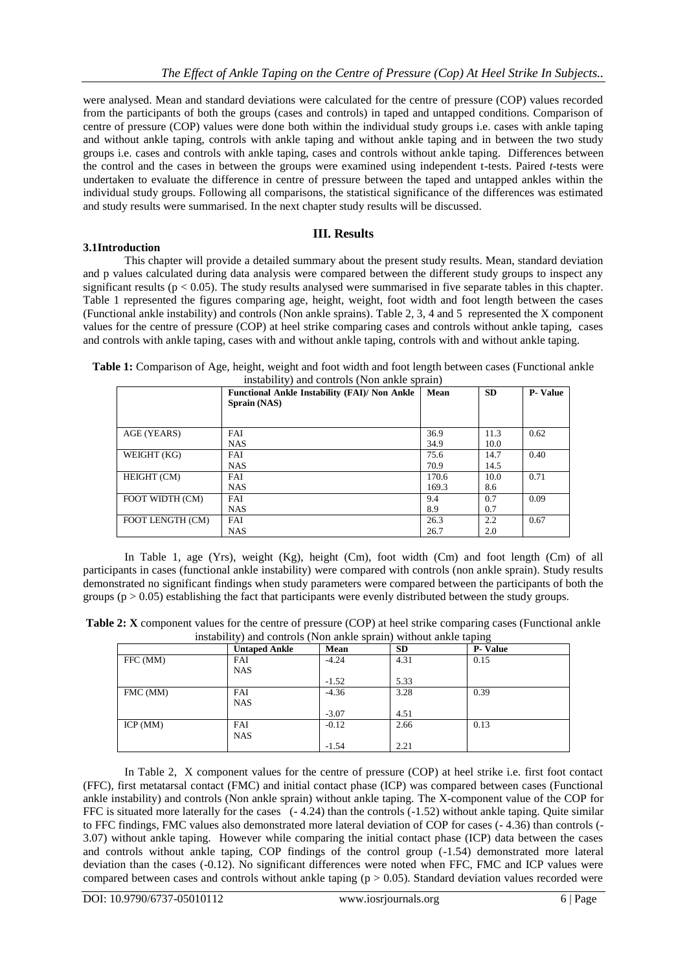were analysed. Mean and standard deviations were calculated for the centre of pressure (COP) values recorded from the participants of both the groups (cases and controls) in taped and untapped conditions. Comparison of centre of pressure (COP) values were done both within the individual study groups i.e. cases with ankle taping and without ankle taping, controls with ankle taping and without ankle taping and in between the two study groups i.e. cases and controls with ankle taping, cases and controls without ankle taping. Differences between the control and the cases in between the groups were examined using independent t-tests. Paired *t*-tests were undertaken to evaluate the difference in centre of pressure between the taped and untapped ankles within the individual study groups. Following all comparisons, the statistical significance of the differences was estimated and study results were summarised. In the next chapter study results will be discussed.

# **III. Results**

### **3.1Introduction**

This chapter will provide a detailed summary about the present study results. Mean, standard deviation and p values calculated during data analysis were compared between the different study groups to inspect any significant results (p < 0.05). The study results analysed were summarised in five separate tables in this chapter. Table 1 represented the figures comparing age, height, weight, foot width and foot length between the cases (Functional ankle instability) and controls (Non ankle sprains). Table 2, 3, 4 and 5 represented the X component values for the centre of pressure (COP) at heel strike comparing cases and controls without ankle taping, cases and controls with ankle taping, cases with and without ankle taping, controls with and without ankle taping.

| Table 1: Comparison of Age, height, weight and foot width and foot length between cases (Functional ankle |                                              |  |  |
|-----------------------------------------------------------------------------------------------------------|----------------------------------------------|--|--|
|                                                                                                           | instability) and controls (Non ankle sprain) |  |  |

|                  | <b>Functional Ankle Instability (FAI)/ Non Ankle</b><br>Sprain (NAS) | Mean           | <b>SD</b>    | <b>P</b> - Value |
|------------------|----------------------------------------------------------------------|----------------|--------------|------------------|
| AGE (YEARS)      | FAI<br><b>NAS</b>                                                    | 36.9<br>34.9   | 11.3<br>10.0 | 0.62             |
| WEIGHT (KG)      | FAI<br><b>NAS</b>                                                    | 75.6<br>70.9   | 14.7<br>14.5 | 0.40             |
| HEIGHT (CM)      | FAI<br><b>NAS</b>                                                    | 170.6<br>169.3 | 10.0<br>8.6  | 0.71             |
| FOOT WIDTH (CM)  | FAI<br><b>NAS</b>                                                    | 9.4<br>8.9     | 0.7<br>0.7   | 0.09             |
| FOOT LENGTH (CM) | <b>FAI</b><br><b>NAS</b>                                             | 26.3<br>26.7   | 2.2<br>2.0   | 0.67             |

In Table 1, age (Yrs), weight (Kg), height (Cm), foot width (Cm) and foot length (Cm) of all participants in cases (functional ankle instability) were compared with controls (non ankle sprain). Study results demonstrated no significant findings when study parameters were compared between the participants of both the groups ( $p > 0.05$ ) establishing the fact that participants were evenly distributed between the study groups.

| <b>Table 2: X</b> component values for the centre of pressure (COP) at heel strike comparing cases (Functional ankle |  |                                                                   |  |
|----------------------------------------------------------------------------------------------------------------------|--|-------------------------------------------------------------------|--|
|                                                                                                                      |  | instability) and controls (Non ankle sprain) without ankle taping |  |

| $\frac{1}{2}$ |                      |         |           |                |
|---------------|----------------------|---------|-----------|----------------|
|               | <b>Untaped Ankle</b> | Mean    | <b>SD</b> | <b>P-Value</b> |
| FFC (MM)      | FAI                  | $-4.24$ | 4.31      | 0.15           |
|               | <b>NAS</b>           |         |           |                |
|               |                      | $-1.52$ | 5.33      |                |
| FMC (MM)      | FAI                  | $-4.36$ | 3.28      | 0.39           |
|               | <b>NAS</b>           |         |           |                |
|               |                      | $-3.07$ | 4.51      |                |
| ICP(MM)       | FAI                  | $-0.12$ | 2.66      | 0.13           |
|               | <b>NAS</b>           |         |           |                |
|               |                      | $-1.54$ | 2.21      |                |

In Table 2, X component values for the centre of pressure (COP) at heel strike i.e. first foot contact (FFC), first metatarsal contact (FMC) and initial contact phase (ICP) was compared between cases (Functional ankle instability) and controls (Non ankle sprain) without ankle taping. The X-component value of the COP for FFC is situated more laterally for the cases  $(-4.24)$  than the controls  $(-1.52)$  without ankle taping. Quite similar to FFC findings, FMC values also demonstrated more lateral deviation of COP for cases (- 4.36) than controls (- 3.07) without ankle taping. However while comparing the initial contact phase (ICP) data between the cases and controls without ankle taping, COP findings of the control group (-1.54) demonstrated more lateral deviation than the cases (-0.12). No significant differences were noted when FFC, FMC and ICP values were compared between cases and controls without ankle taping  $(p > 0.05)$ . Standard deviation values recorded were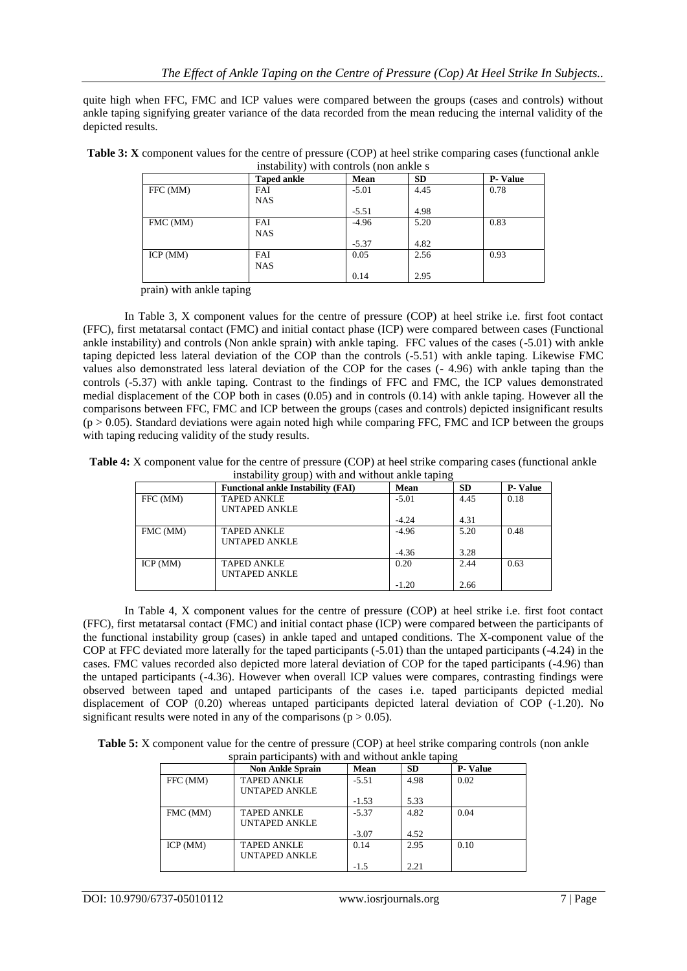quite high when FFC, FMC and ICP values were compared between the groups (cases and controls) without ankle taping signifying greater variance of the data recorded from the mean reducing the internal validity of the depicted results.

| Table 3: X component values for the centre of pressure (COP) at heel strike comparing cases (functional ankle |  |
|---------------------------------------------------------------------------------------------------------------|--|
| instability) with controls (non ankle s                                                                       |  |

|          | <b>Taped ankle</b> | Mean    | <b>SD</b> | <b>P-Value</b> |
|----------|--------------------|---------|-----------|----------------|
| FFC (MM) | <b>FAI</b>         | $-5.01$ | 4.45      | 0.78           |
|          | <b>NAS</b>         |         |           |                |
|          |                    | $-5.51$ | 4.98      |                |
| FMC (MM) | <b>FAI</b>         | $-4.96$ | 5.20      | 0.83           |
|          | <b>NAS</b>         |         |           |                |
|          |                    | $-5.37$ | 4.82      |                |
| ICP(MM)  | <b>FAI</b>         | 0.05    | 2.56      | 0.93           |
|          | <b>NAS</b>         |         |           |                |
|          |                    | 0.14    | 2.95      |                |

prain) with ankle taping

In Table 3, X component values for the centre of pressure (COP) at heel strike i.e. first foot contact (FFC), first metatarsal contact (FMC) and initial contact phase (ICP) were compared between cases (Functional ankle instability) and controls (Non ankle sprain) with ankle taping. FFC values of the cases (-5.01) with ankle taping depicted less lateral deviation of the COP than the controls (-5.51) with ankle taping. Likewise FMC values also demonstrated less lateral deviation of the COP for the cases (- 4.96) with ankle taping than the controls (-5.37) with ankle taping. Contrast to the findings of FFC and FMC, the ICP values demonstrated medial displacement of the COP both in cases (0.05) and in controls (0.14) with ankle taping. However all the comparisons between FFC, FMC and ICP between the groups (cases and controls) depicted insignificant results  $(p > 0.05)$ . Standard deviations were again noted high while comparing FFC, FMC and ICP between the groups with taping reducing validity of the study results.

**Table 4:** X component value for the centre of pressure (COP) at heel strike comparing cases (functional ankle instability group) with and without ankle taping

|          | <b>Functional ankle Instability (FAI)</b> | Mean    | ---<br><b>SD</b> | <b>P-Value</b> |
|----------|-------------------------------------------|---------|------------------|----------------|
| FFC (MM) | <b>TAPED ANKLE</b>                        | $-5.01$ | 4.45             | 0.18           |
|          | <b>UNTAPED ANKLE</b>                      |         |                  |                |
|          |                                           | $-4.24$ | 4.31             |                |
| FMC (MM) | <b>TAPED ANKLE</b>                        | $-4.96$ | 5.20             | 0.48           |
|          | <b>UNTAPED ANKLE</b>                      |         |                  |                |
|          |                                           | $-4.36$ | 3.28             |                |
| ICP(MM)  | <b>TAPED ANKLE</b>                        | 0.20    | 2.44             | 0.63           |
|          | <b>UNTAPED ANKLE</b>                      |         |                  |                |
|          |                                           | $-1.20$ | 2.66             |                |

In Table 4, X component values for the centre of pressure (COP) at heel strike i.e. first foot contact (FFC), first metatarsal contact (FMC) and initial contact phase (ICP) were compared between the participants of the functional instability group (cases) in ankle taped and untaped conditions. The X-component value of the COP at FFC deviated more laterally for the taped participants (-5.01) than the untaped participants (-4.24) in the cases. FMC values recorded also depicted more lateral deviation of COP for the taped participants (-4.96) than the untaped participants (-4.36). However when overall ICP values were compares, contrasting findings were observed between taped and untaped participants of the cases i.e. taped participants depicted medial displacement of COP (0.20) whereas untaped participants depicted lateral deviation of COP (-1.20). No significant results were noted in any of the comparisons ( $p > 0.05$ ).

| <b>Table 5:</b> X component value for the centre of pressure (COP) at heel strike comparing controls (non ankle |  |
|-----------------------------------------------------------------------------------------------------------------|--|
| sprain participants) with and without ankle taping                                                              |  |

| $\mathcal{L}_{\text{S}}$ parameter $\mathcal{L}_{\text{S}}$ and $\mathcal{L}_{\text{S}}$ and $\mathcal{L}_{\text{S}}$ |                         |         |           |                |  |  |
|-----------------------------------------------------------------------------------------------------------------------|-------------------------|---------|-----------|----------------|--|--|
|                                                                                                                       | <b>Non Ankle Sprain</b> | Mean    | <b>SD</b> | <b>P-Value</b> |  |  |
| FFC (MM)                                                                                                              | <b>TAPED ANKLE</b>      | $-5.51$ | 4.98      | 0.02           |  |  |
|                                                                                                                       | <b>UNTAPED ANKLE</b>    |         |           |                |  |  |
|                                                                                                                       |                         | $-1.53$ | 5.33      |                |  |  |
| FMC (MM)                                                                                                              | <b>TAPED ANKLE</b>      | $-5.37$ | 4.82      | 0.04           |  |  |
|                                                                                                                       | <b>UNTAPED ANKLE</b>    |         |           |                |  |  |
|                                                                                                                       |                         | $-3.07$ | 4.52      |                |  |  |
| ICP (MM)                                                                                                              | <b>TAPED ANKLE</b>      | 0.14    | 2.95      | 0.10           |  |  |
|                                                                                                                       | <b>UNTAPED ANKLE</b>    |         |           |                |  |  |
|                                                                                                                       |                         | $-1.5$  | 2.21      |                |  |  |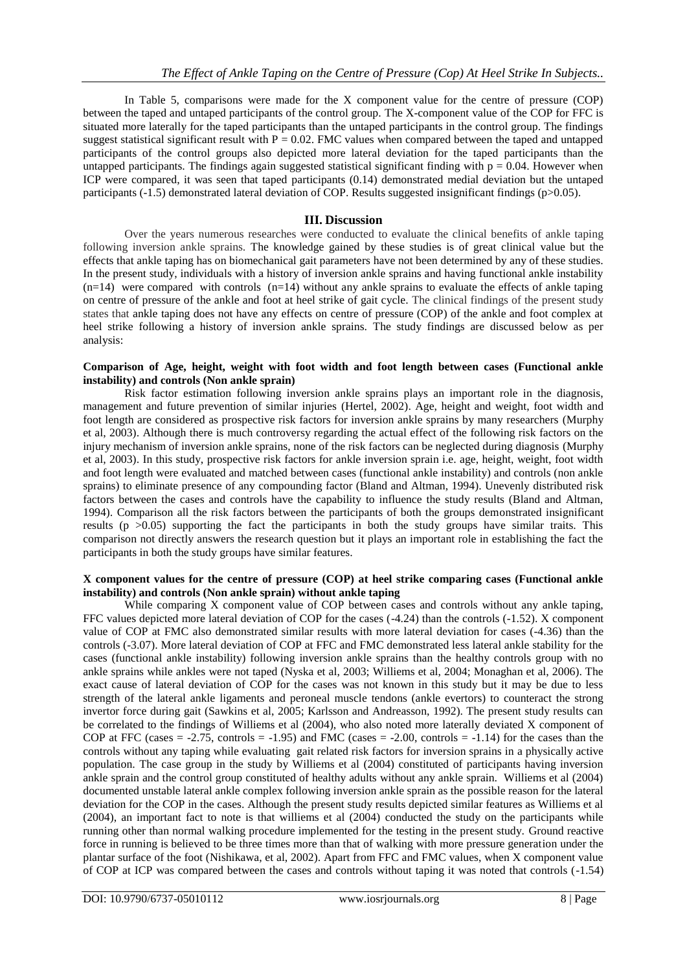In Table 5, comparisons were made for the X component value for the centre of pressure (COP) between the taped and untaped participants of the control group. The X-component value of the COP for FFC is situated more laterally for the taped participants than the untaped participants in the control group. The findings suggest statistical significant result with  $P = 0.02$ . FMC values when compared between the taped and untapped participants of the control groups also depicted more lateral deviation for the taped participants than the untapped participants. The findings again suggested statistical significant finding with  $p = 0.04$ . However when ICP were compared, it was seen that taped participants (0.14) demonstrated medial deviation but the untaped participants (-1.5) demonstrated lateral deviation of COP. Results suggested insignificant findings (p>0.05).

# **III. Discussion**

Over the years numerous researches were conducted to evaluate the clinical benefits of ankle taping following inversion ankle sprains. The knowledge gained by these studies is of great clinical value but the effects that ankle taping has on biomechanical gait parameters have not been determined by any of these studies. In the present study, individuals with a history of inversion ankle sprains and having functional ankle instability  $(n=14)$  were compared with controls  $(n=14)$  without any ankle sprains to evaluate the effects of ankle taping on centre of pressure of the ankle and foot at heel strike of gait cycle. The clinical findings of the present study states that ankle taping does not have any effects on centre of pressure (COP) of the ankle and foot complex at heel strike following a history of inversion ankle sprains. The study findings are discussed below as per analysis:

#### **Comparison of Age, height, weight with foot width and foot length between cases (Functional ankle instability) and controls (Non ankle sprain)**

Risk factor estimation following inversion ankle sprains plays an important role in the diagnosis, management and future prevention of similar injuries (Hertel, 2002). Age, height and weight, foot width and foot length are considered as prospective risk factors for inversion ankle sprains by many researchers (Murphy et al, 2003). Although there is much controversy regarding the actual effect of the following risk factors on the injury mechanism of inversion ankle sprains, none of the risk factors can be neglected during diagnosis (Murphy et al, 2003). In this study, prospective risk factors for ankle inversion sprain i.e. age, height, weight, foot width and foot length were evaluated and matched between cases (functional ankle instability) and controls (non ankle sprains) to eliminate presence of any compounding factor (Bland and Altman, 1994). Unevenly distributed risk factors between the cases and controls have the capability to influence the study results (Bland and Altman, 1994). Comparison all the risk factors between the participants of both the groups demonstrated insignificant results ( $p > 0.05$ ) supporting the fact the participants in both the study groups have similar traits. This comparison not directly answers the research question but it plays an important role in establishing the fact the participants in both the study groups have similar features.

#### **X component values for the centre of pressure (COP) at heel strike comparing cases (Functional ankle instability) and controls (Non ankle sprain) without ankle taping**

While comparing X component value of COP between cases and controls without any ankle taping, FFC values depicted more lateral deviation of COP for the cases (-4.24) than the controls (-1.52). X component value of COP at FMC also demonstrated similar results with more lateral deviation for cases (-4.36) than the controls (-3.07). More lateral deviation of COP at FFC and FMC demonstrated less lateral ankle stability for the cases (functional ankle instability) following inversion ankle sprains than the healthy controls group with no ankle sprains while ankles were not taped (Nyska et al, 2003; Williems et al, 2004; Monaghan et al, 2006). The exact cause of lateral deviation of COP for the cases was not known in this study but it may be due to less strength of the lateral ankle ligaments and peroneal muscle tendons (ankle evertors) to counteract the strong invertor force during gait (Sawkins et al, 2005; Karlsson and Andreasson, 1992). The present study results can be correlated to the findings of Williems et al (2004), who also noted more laterally deviated X component of COP at FFC (cases  $= -2.75$ , controls  $= -1.95$ ) and FMC (cases  $= -2.00$ , controls  $= -1.14$ ) for the cases than the controls without any taping while evaluating gait related risk factors for inversion sprains in a physically active population. The case group in the study by Williems et al (2004) constituted of participants having inversion ankle sprain and the control group constituted of healthy adults without any ankle sprain. Williems et al (2004) documented unstable lateral ankle complex following inversion ankle sprain as the possible reason for the lateral deviation for the COP in the cases. Although the present study results depicted similar features as Williems et al (2004), an important fact to note is that williems et al (2004) conducted the study on the participants while running other than normal walking procedure implemented for the testing in the present study. Ground reactive force in running is believed to be three times more than that of walking with more pressure generation under the plantar surface of the foot (Nishikawa, et al, 2002). Apart from FFC and FMC values, when X component value of COP at ICP was compared between the cases and controls without taping it was noted that controls (-1.54)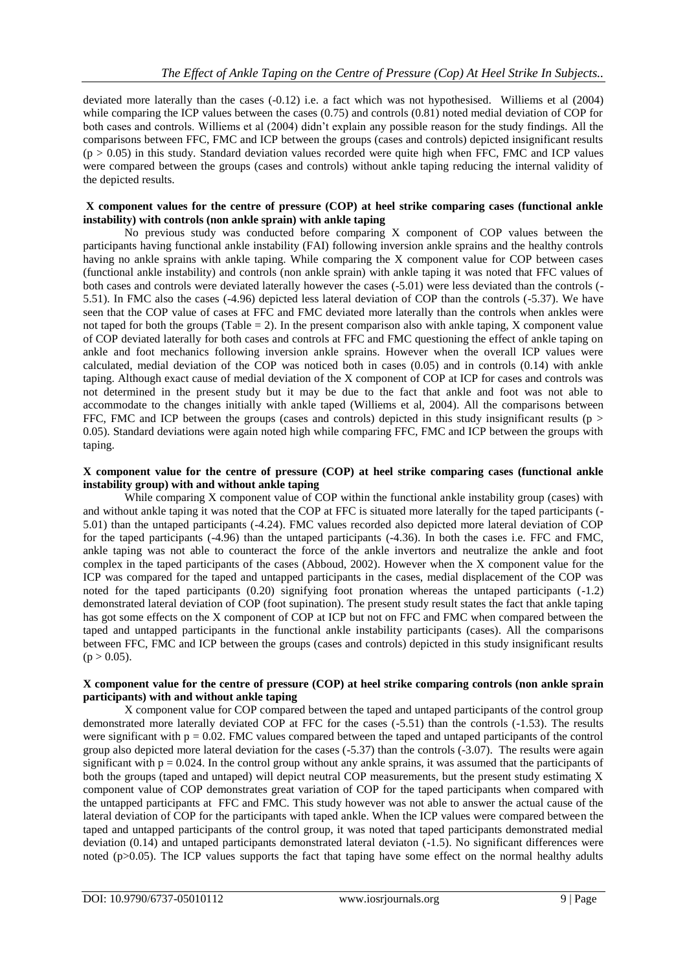deviated more laterally than the cases (-0.12) i.e. a fact which was not hypothesised. Williems et al (2004) while comparing the ICP values between the cases (0.75) and controls (0.81) noted medial deviation of COP for both cases and controls. Williems et al (2004) didn't explain any possible reason for the study findings. All the comparisons between FFC, FMC and ICP between the groups (cases and controls) depicted insignificant results  $(p > 0.05)$  in this study. Standard deviation values recorded were quite high when FFC, FMC and ICP values were compared between the groups (cases and controls) without ankle taping reducing the internal validity of the depicted results.

#### **X component values for the centre of pressure (COP) at heel strike comparing cases (functional ankle instability) with controls (non ankle sprain) with ankle taping**

No previous study was conducted before comparing X component of COP values between the participants having functional ankle instability (FAI) following inversion ankle sprains and the healthy controls having no ankle sprains with ankle taping. While comparing the X component value for COP between cases (functional ankle instability) and controls (non ankle sprain) with ankle taping it was noted that FFC values of both cases and controls were deviated laterally however the cases (-5.01) were less deviated than the controls (- 5.51). In FMC also the cases (-4.96) depicted less lateral deviation of COP than the controls (-5.37). We have seen that the COP value of cases at FFC and FMC deviated more laterally than the controls when ankles were not taped for both the groups (Table = 2). In the present comparison also with ankle taping,  $X$  component value of COP deviated laterally for both cases and controls at FFC and FMC questioning the effect of ankle taping on ankle and foot mechanics following inversion ankle sprains. However when the overall ICP values were calculated, medial deviation of the COP was noticed both in cases (0.05) and in controls (0.14) with ankle taping. Although exact cause of medial deviation of the X component of COP at ICP for cases and controls was not determined in the present study but it may be due to the fact that ankle and foot was not able to accommodate to the changes initially with ankle taped (Williems et al, 2004). All the comparisons between FFC, FMC and ICP between the groups (cases and controls) depicted in this study insignificant results ( $p >$ 0.05). Standard deviations were again noted high while comparing FFC, FMC and ICP between the groups with taping.

#### **X component value for the centre of pressure (COP) at heel strike comparing cases (functional ankle instability group) with and without ankle taping**

While comparing X component value of COP within the functional ankle instability group (cases) with and without ankle taping it was noted that the COP at FFC is situated more laterally for the taped participants (- 5.01) than the untaped participants (-4.24). FMC values recorded also depicted more lateral deviation of COP for the taped participants (-4.96) than the untaped participants (-4.36). In both the cases i.e. FFC and FMC, ankle taping was not able to counteract the force of the ankle invertors and neutralize the ankle and foot complex in the taped participants of the cases (Abboud, 2002). However when the X component value for the ICP was compared for the taped and untapped participants in the cases, medial displacement of the COP was noted for the taped participants (0.20) signifying foot pronation whereas the untaped participants (-1.2) demonstrated lateral deviation of COP (foot supination). The present study result states the fact that ankle taping has got some effects on the X component of COP at ICP but not on FFC and FMC when compared between the taped and untapped participants in the functional ankle instability participants (cases). All the comparisons between FFC, FMC and ICP between the groups (cases and controls) depicted in this study insignificant results  $(p > 0.05)$ .

### **X component value for the centre of pressure (COP) at heel strike comparing controls (non ankle sprain participants) with and without ankle taping**

X component value for COP compared between the taped and untaped participants of the control group demonstrated more laterally deviated COP at FFC for the cases (-5.51) than the controls (-1.53). The results were significant with  $p = 0.02$ . FMC values compared between the taped and untaped participants of the control group also depicted more lateral deviation for the cases (-5.37) than the controls (-3.07). The results were again significant with  $p = 0.024$ . In the control group without any ankle sprains, it was assumed that the participants of both the groups (taped and untaped) will depict neutral COP measurements, but the present study estimating X component value of COP demonstrates great variation of COP for the taped participants when compared with the untapped participants at FFC and FMC. This study however was not able to answer the actual cause of the lateral deviation of COP for the participants with taped ankle. When the ICP values were compared between the taped and untapped participants of the control group, it was noted that taped participants demonstrated medial deviation (0.14) and untaped participants demonstrated lateral deviaton (-1.5). No significant differences were noted (p>0.05). The ICP values supports the fact that taping have some effect on the normal healthy adults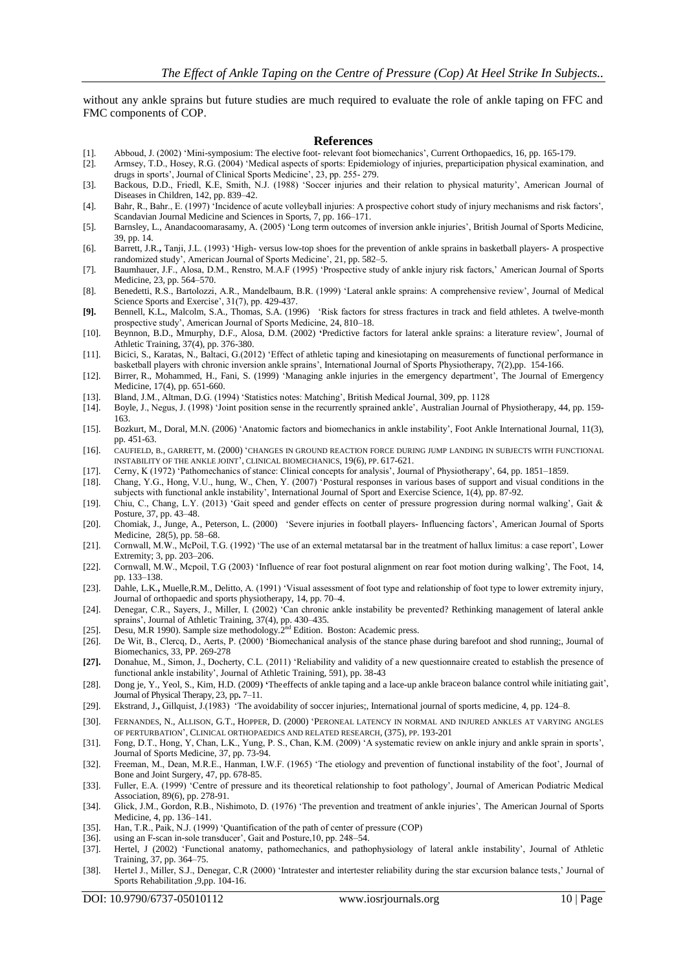without any ankle sprains but future studies are much required to evaluate the role of ankle taping on FFC and FMC components of COP.

#### **References**

- [1]. Abboud, J. (2002) 'Mini-symposium: The elective foot- relevant foot biomechanics', Current Orthopaedics, 16, pp. 165-179.
- [2]. Armsey, T.D., Hosey, R.G. (2004) 'Medical aspects of sports: Epidemiology of injuries, preparticipation physical examination, and drugs in sports', Journal of Clinical Sports Medicine', 23, pp. 255- 279.
- [3]. Backous, D.D., Friedl, K.E, Smith, N.J. (1988) 'Soccer injuries and their relation to physical maturity', American Journal of Diseases in Children, 142, pp. 839–42.
- [4]. Bahr, R., Bahr., E. (1997) 'Incidence of acute volleyball injuries: A prospective cohort study of injury mechanisms and risk factors', Scandavian Journal Medicine and Sciences in Sports, 7, pp. 166–171.
- [5]. Barnsley, L., [Anandacoomarasamy,](http://bjsm.bmj.com/search?author1=A+Anandacoomarasamy&sortspec=date&submit=Submit) A. (2005) 'Long term outcomes of inversion ankle injuries', British Journal of Sports Medicine, 39, pp. 14.
- [6]. Barrett, J.R.**,** Tanji, J.L. (1993) 'High- versus low-top shoes for the prevention of ankle sprains in basketball players- A prospective randomized study', American Journal of Sports Medicine', 21, pp. 582–5.
- [7]. Baumhauer, J.F., Alosa, D.M., Renstro, M.A.F (1995) 'Prospective study of ankle injury risk factors,' American Journal of Sports Medicine, 23, pp. 564–570.
- [8]. Benedetti, R.S., Bartolozzi, A.R., Mandelbaum, B.R. (1999) 'Lateral ankle sprains: A comprehensive review', Journal of Medical Science Sports and Exercise',  $31(7)$ , pp. 429-437.
- **[9].** Bennell, K.L**.**, Malcolm, S.A., Thomas, S.A. (1996) 'Risk factors for stress fractures in track and field athletes. A twelve-month prospective study', American Journal of Sports Medicine, 24, 810–18.
- [10]. Beynnon, B.D., Mmurphy, D.F., Alosa, D.M. (2002) **'**Predictive factors for lateral ankle sprains: a literature review', Journal of Athletic Training, 37(4), pp. 376-380.
- [11]. [Bicici,](http://www.ncbi.nlm.nih.gov/pubmed/?term=Bicici%20S%5Bauth%5D) S., [Karatas,](http://www.ncbi.nlm.nih.gov/pubmed/?term=Karatas%20N%5Bauth%5D) N., [Baltaci,](http://www.ncbi.nlm.nih.gov/pubmed/?term=Baltaci%20G%5Bauth%5D) G.(2012) 'Effect of athletic taping and kinesiotaping on measurements of functional performance in basketball players with chronic inversion ankle sprains', International Journal of Sports Physiotherapy, 7(2),pp. 154-166.
- [12]. [Birrer,](http://www.sciencedirect.com/science/article/pii/S0736467999000608) R., [Mohammed,](http://www.sciencedirect.com/science/article/pii/S0736467999000608) H., Fani, S. (1999) 'Managing ankle injuries in the emergency department', The Journal of [Emergency](http://www.sciencedirect.com/science/journal/07364679) [Medicine,](http://www.sciencedirect.com/science/journal/07364679) 17(4), pp. 651-660.
- [13]. Bland, J.M., Altman, D.G. (1994) 'Statistics notes: Matching', British Medical Journal, 309, pp. 1128
- [14]. Boyle, J., Negus, J. (1998) 'Joint position sense in the recurrently sprained ankle', Australian Journal of Physiotherapy, 44, pp. 159- 163.
- [15]. Bozkurt, M., Doral, M.N. (2006) 'Anatomic factors and biomechanics in ankle instability', Foot Ankle International Journal, 11(3), pp. 451-63.
- [16]. CAUFIELD, B., GARRETT, M. (2000) 'CHANGES IN GROUND REACTION FORCE DURING JUMP LANDING IN SUBJECTS WITH FUNCTIONAL INSTABILITY OF THE ANKLE JOINT', CLINICAL BIOMECHANICS, 19(6), PP. 617-621.
- [17]. Cerny, K (1972) 'Pathomechanics of stance: Clinical concepts for analysis', Journal of Physiotherapy', 64, pp. 1851–1859.
- [18]. Chang, Y.G., Hong, V.U., hung, W., Chen, Y. (2007) 'Postural responses in various bases of support and visual conditions in the subjects with functional ankle instability', International Journal of Sport and Exercise Science, 1(4), pp. 87-92.
- [19]. Chiu, C., Chang, L.Y. (2013) 'Gait speed and gender effects on center of pressure progression during normal walking', Gait & Posture, 37, pp. 43–48.
- [20]. Chomiak, J., Junge, A., Peterson, L. (2000) 'Severe injuries in football players- Influencing factors', American Journal of Sports Medicine, 28(5), pp. 58–68.
- [21]. Cornwall, M.W., McPoil, T.G. (1992) 'The use of an external metatarsal bar in the treatment of hallux limitus: a case report', Lower Extremity; 3, pp. 203–206.
- [22]. Cornwall, M.W., Mcpoil, T.G (2003) 'Influence of rear foot postural alignment on rear foot motion during walking', The Foot, 14, pp. 133–138.
- [23]. Dahle, L.K.**,** Muelle,R.M., Delitto, A. (1991) 'Visual assessment of foot type and relationship of foot type to lower extremity injury, Journal of orthopaedic and sports physiotherapy, 14, pp. 70–4.
- [24]. Denegar, C.R., Sayers, J., Miller, I. (2002) 'Can chronic ankle instability be prevented? Rethinking management of lateral ankle sprains', Journal of Athletic Training, 37(4), pp. 430–435.
- [25]. Desu, M.R 1990). Sample size methodology.2<sup>nd</sup> Edition. Boston: Academic press.
- [26]. De Wit, B., Clercq, D., Aerts, P. (2000) 'Biomechanical analysis of the stance phase during barefoot and shod running;, Journal of Biomechanics, 33, PP. 269-278
- **[27].** Donahue, M., Simon, J., Docherty, C.L. (2011) 'Reliability and validity of a new questionnaire created to establish the presence of functional ankle instability', Journal of Athletic Training, 591), pp. 38-43
- [28]. Dong je, Y., Yeol, S., Kim, H.D. (2009**) '**Theeffects of ankle taping and a lace-up ankle braceon balance control while initiating gait', Journal of Physical Therapy, 23, pp**.** 7–11.
- [29]. Ekstrand, J.**,** Gillquist, J.(1983) 'The avoidability of soccer injuries;, International journal of sports medicine, 4, pp. 124–8.
- [30]. F[ERNANDES](http://www.ncbi.nlm.nih.gov/pubmed?term=Fernandes%20N%5BAuthor%5D&cauthor=true&cauthor_uid=10853169), N., A[LLISON](http://www.ncbi.nlm.nih.gov/pubmed?term=Allison%20GT%5BAuthor%5D&cauthor=true&cauthor_uid=10853169), G.T., H[OPPER](http://www.ncbi.nlm.nih.gov/pubmed?term=Hopper%20D%5BAuthor%5D&cauthor=true&cauthor_uid=10853169), D. (2000) 'PERONEAL LATENCY IN NORMAL AND INJURED ANKLES AT VARYING ANGLES OF PERTURBATION', CLINICAL ORTHOPAEDICS AND RELATED RESEARCH, (375), PP. 193-201
- [31]. Fong, D.T., Hong, Y, Chan, L.K., Yung, P. S., Chan, K.M. (2009) 'A systematic review on ankle injury and ankle sprain in sports', Journal of Sports Medicine, 37, pp. 73-94.
- [32]. Freeman, M., Dean, M.R.E., Hanman, I.W.F. (1965) 'The etiology and prevention of functional instability of the foot', Journal of Bone and Joint Surgery, 47, pp. 678-85.
- [33]. Fuller, E.A. (1999) 'Centre of pressure and its theoretical relationship to foot pathology', Journal of American Podiatric Medical Association, 89(6), pp. 278-91.
- [34]. Glick, J.M., Gordon, R.B., Nishimoto, D. (1976) 'The prevention and treatment of ankle injuries', The American Journal of Sports Medicine, 4, pp. 136–141.
- [35]. Han, T.R., Paik, N.J. (1999) 'Quantification of the path of center of pressure (COP) [36]. using an F-scan in-sole transducer', Gait and Posture, 10, pp. 248–54.
- using an F-scan in-sole transducer', Gait and Posture, 10, pp. 248–54.
- [37]. Hertel, J (2002) 'Functional anatomy, pathomechanics, and pathophysiology of lateral ankle instability', Journal of Athletic Training, 37, pp. 364–75.
- [38]. Hertel J., Miller, S.J., Denegar, C,R (2000) 'Intratester and intertester reliability during the star excursion balance tests,' Journal of Sports Rehabilitation ,9,pp. 104-16.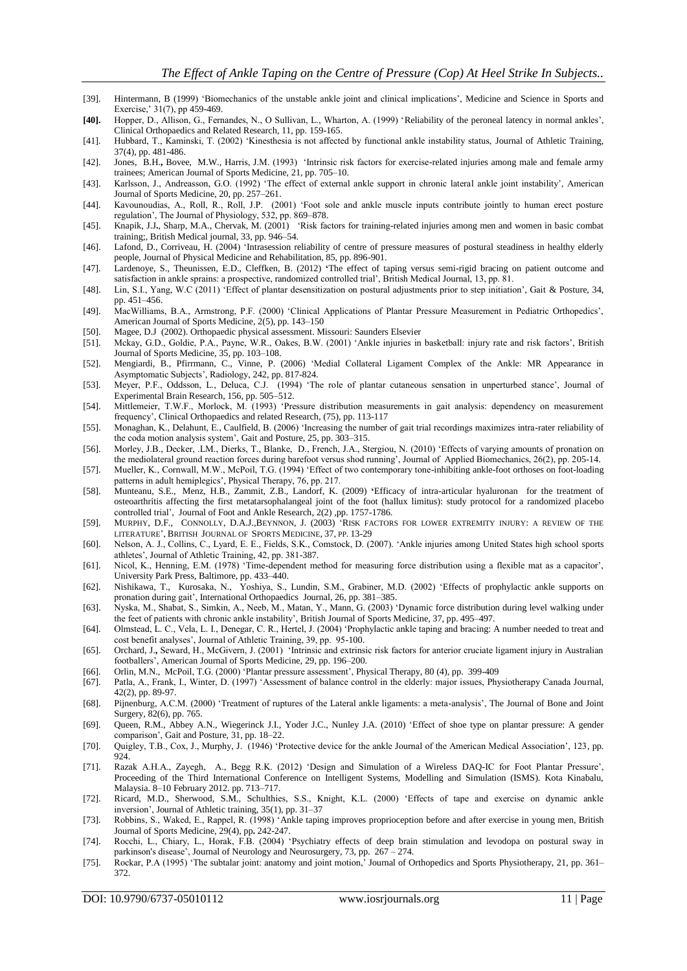- [39]. Hintermann, B (1999) 'Biomechanics of the unstable ankle joint and clinical implications', Medicine and Science in Sports and Exercise,' 31(7), pp 459-469.
- **[40].** Hopper, D., Allison, G., Fernandes, N., O Sullivan, L., Wharton, A. (1999) 'Reliability of the peroneal latency in normal ankles', Clinical Orthopaedics and Related Research, 11, pp. 159-165.
- [41]. Hubbard, T., Kaminski, T. (2002) 'Kinesthesia is not affected by functional ankle instability status, Journal of Athletic Training, 37(4), pp. 481-486.
- [42]. Jones, B.H.**,** Bovee, M.W., Harris, J.M. (1993) 'Intrinsic risk factors for exercise-related injuries among male and female army trainees; American Journal of Sports Medicine, 21, pp. 705–10.
- [43]. Karlsson, J., Andreasson, G.O. (1992) 'The effect of external ankle support in chronic lateral ankle joint instability', American Journal of Sports Medicine, 20, pp. 257–261.
- [44]. Kavounoudias, A., Roll, R., Roll, J.P. (2001) 'Foot sole and ankle muscle inputs contribute jointly to human erect posture regulation', The Journal of Physiology, 532, pp. 869–878.
- [45]. Knapik, J.J**.**, Sharp, M.A., Chervak, M. (2001) 'Risk factors for training-related injuries among men and women in basic combat training;, British Medical journal, 33, pp. 946–54.
- [46]. Lafond, D., Corriveau, H. (2004) 'Intrasession reliability of centre of pressure measures of postural steadiness in healthy elderly people, Journal of Physical Medicine and Rehabilitation, 85, pp. 896-901.
- [47]. Lardenoye, S., Theunissen, E.D., Cleffken, B. (2012) **'**The effect of taping versus semi-rigid bracing on patient outcome and satisfaction in ankle sprains: a prospective, randomized controlled trial', British Medical Journal, 13, pp. 81.
- [48]. Lin, S.I., Yang, W.C (2011) 'Effect of plantar desensitization on postural adjustments prior to step initiation', Gait & Posture, 34, pp. 451–456.
- [49]. MacWilliams, B.A., Armstrong, P.F. (2000) 'Clinical Applications of Plantar Pressure Measurement in Pediatric Orthopedics', American Journal of Sports Medicine, 2(5), pp. 143–150
- [50]. Magee, D.J (2002). Orthopaedic physical assessment. Missouri: Saunders Elsevier
- [51]. Mckay, G.D., Goldie, P.A., Payne, W.R., Oakes, B.W. (2001) 'Ankle injuries in basketball: injury rate and risk factors', British Journal of Sports Medicine, 35, pp. 103–108.
- [52]. [Mengiardi,](http://radiology.rsna.org/search?author1=Bernard+Mengiardi&sortspec=date&submit=Submit) B., Pfirrmann, C., Vinne, P. (2006) 'Medial Collateral Ligament Complex of the Ankle: MR Appearance in Asymptomatic Subjects', Radiology, 242, pp. 817-824.
- [53]. Meyer, P.F., Oddsson, L., Deluca, C.J. (1994) 'The role of plantar cutaneous sensation in unperturbed stance', Journal of Experimental Brain Research, 156, pp. 505–512.
- [54]. Mittlemeier, T.W.F., Morlock, M. (1993) 'Pressure distribution measurements in gait analysis: dependency on measurement frequency', Clinical Orthopaedics and related Research, (75), pp. 113-117
- [55]. Monaghan, K., Delahunt, E., Caulfield, B. (2006) 'Increasing the number of gait trial recordings maximizes intra-rater reliability of the coda motion analysis system', Gait and Posture, 25, pp. 303–315.
- [56]. Morley, J.B., Decker, .LM., Dierks, T., Blanke, D., French, J.A., Stergiou, N. (2010) 'Effects of varying amounts of pronation on the mediolateral ground reaction forces during barefoot versus shod running', Journal of Applied Biomechanics, 26(2), pp. 205-14.
- [57]. Mueller, K., Cornwall, M.W., McPoil, T.G. (1994) 'Effect of two contemporary tone-inhibiting ankle-foot orthoses on foot-loading patterns in adult hemiplegics', Physical Therapy, 76, pp. 217.
- [58]. Munteanu, S.E., Menz, H.B., Zammit, Z.B., Landorf, K. (2009) **'**Efficacy of intra-articular hyaluronan for the treatment of osteoarthritis affecting the first metatarsophalangeal joint of the foot (hallux limitus): study protocol for a randomized placebo controlled trial', Journal of Foot and Ankle Research, 2(2) ,pp. 1757-1786.
- [59]. M[URPHY](http://bjsportmed.com/search?author1=D+F+Murphy&sortspec=date&submit=Submit), D.F., C[ONNOLLY](http://bjsportmed.com/search?author1=D+A+J+Connolly&sortspec=date&submit=Submit), D.A.J.,BEYNNON, J. (2003) 'RISK FACTORS FOR LOWER EXTREMITY INJURY: A REVIEW OF THE LITERATURE', BRITISH JOURNAL OF SPORTS MEDICINE, 37, PP. 13-29
- [60]. Nelson, A. J., Collins, C., Lyard, E. E., Fields, S.K., Comstock, D. (2007). 'Ankle injuries among United States high school sports athletes', Journal of Athletic Training, 42, pp. 381-387.
- [61]. Nicol, K., Henning, E.M. (1978) 'Time-dependent method for measuring force distribution using a flexible mat as a capacitor', University Park Press, Baltimore, pp. 433–440.
- [62]. Nishikawa, T., Kurosaka, N., Yoshiya, S., Lundin, S.M., Grabiner, M.D. (2002) 'Effects of prophylactic ankle supports on pronation during gait', International Orthopaedics Journal, 26, pp. 381–385.
- [63]. Nyska, M., Shabat, S., Simkin, A., Neeb, M., Matan, Y., Mann, G. (2003) 'Dynamic force distribution during level walking under the feet of patients with chronic ankle instability', British Journal of Sports Medicine, 37, pp. 495–497.
- [64]. Olmstead, L. C., Vela, L. I., Denegar, C. R., Hertel, J. (2004) 'Prophylactic ankle taping and bracing: A number needed to treat and cost benefit analyses', Journal of Athletic Training, 39, pp. 95-100.
- [65]. Orchard, J.**,** Seward, H., McGivern, J. (2001) 'Intrinsic and extrinsic risk factors for anterior cruciate ligament injury in Australian footballers', American Journal of Sports Medicine, 29, pp. 196–200.
- [66]. [Orlin,](http://ptjournal.apta.org/search?author1=Margo+N+Orlin&sortspec=date&submit=Submit) M.N., [McPoil,](http://ptjournal.apta.org/search?author1=Thomas+G+McPoil&sortspec=date&submit=Submit) T.G. (2000) 'Plantar pressure assessment', Physical Therapy, 80 (4), pp. 399-409
- [67]. Patla, A., Frank, I., Winter, D. (1997) 'Assessment of balance control in the elderly: major issues, Physiotherapy Canada Journal, 42(2), pp. 89-97.
- [68]. Pijnenburg, A.C.M. (2000) 'Treatment of ruptures of the Lateral ankle ligaments: a meta-analysis', The Journal of Bone and Joint Surgery, 82(6), pp. 765.
- [69]. Queen, R.M., Abbey A.N., Wiegerinck J.I., Yoder J.C., Nunley J.A. (2010) 'Effect of shoe type on plantar pressure: A gender comparison', Gait and Posture, 31, pp. 18–22.
- [70]. Quigley, T.B., Cox, J., Murphy, J. (1946) 'Protective device for the ankle Journal of the American Medical Association', 123, pp. 924.
- [71]. Razak A.H.A., Zayegh, A., Begg R.K. (2012) 'Design and Simulation of a Wireless DAQ-IC for Foot Plantar Pressure', Proceeding of the Third International Conference on Intelligent Systems, Modelling and Simulation (ISMS). Kota Kinabalu, Malaysia. 8–10 February 2012. pp. 713–717.
- [72]. Ricard, M.D., Sherwood, S.M., Schulthies, S.S., Knight, K.L. (2000) 'Effects of tape and exercise on dynamic ankle inversion', Journal of Athletic training, 35(1), pp. 31–37
- [73]. Robbins, S., Waked, E., Rappel, R. (1998) 'Ankle taping improves proprioception before and after exercise in young men, British Journal of Sports Medicine, 29(4), pp**.** 242-247.
- [74]. Rocchi, L., Chiary, L., Horak, F.B. (2004) 'Psychiatry effects of deep brain stimulation and levodopa on postural sway in parkinson's disease', Journal of Neurology and Neurosurgery, 73, pp. 267 – 274.
- [75]. Rockar, P.A (1995) 'The subtalar joint: anatomy and joint motion,' Journal of Orthopedics and Sports Physiotherapy, 21, pp. 361– 372.